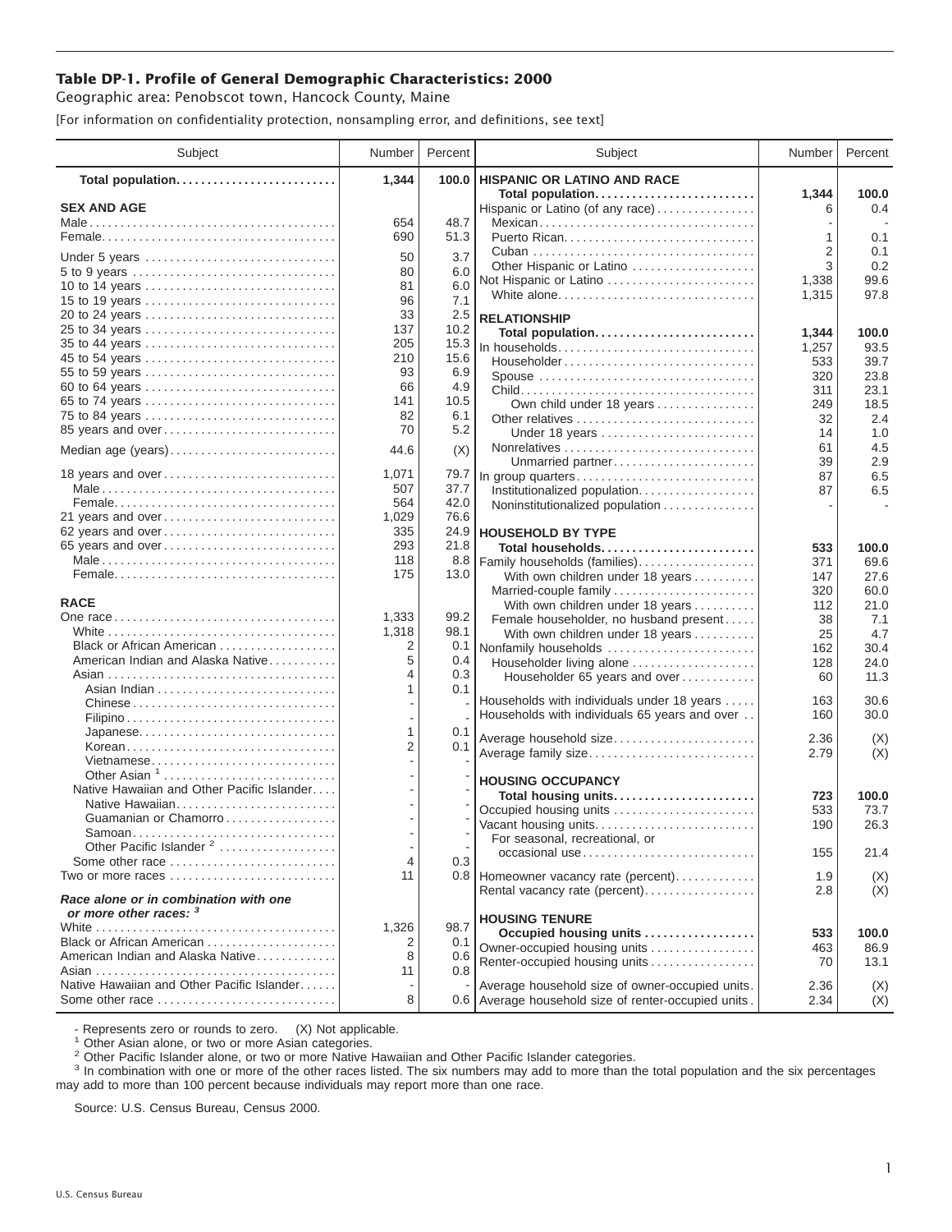## **Table DP-1. Profile of General Demographic Characteristics: 2000**

Geographic area: Penobscot town, Hancock County, Maine

[For information on confidentiality protection, nonsampling error, and definitions, see text]

| Subject                                                                | Number     | Percent     | Subject                                                       | Number         | Percent       |
|------------------------------------------------------------------------|------------|-------------|---------------------------------------------------------------|----------------|---------------|
| Total population                                                       | 1,344      | 100.0       | <b>HISPANIC OR LATINO AND RACE</b>                            |                |               |
| <b>SEX AND AGE</b>                                                     |            |             | Total population<br>Hispanic or Latino (of any race)          | 1,344<br>6     | 100.0<br>0.4  |
|                                                                        | 654        | 48.7        | Mexican                                                       |                |               |
|                                                                        | 690        | 51.3        |                                                               | 1              | 0.1           |
|                                                                        |            |             |                                                               | 2              | 0.1           |
| Under 5 years                                                          | 50         | 3.7         | Other Hispanic or Latino                                      | 3              | 0.2           |
| 10 to 14 years                                                         | 80<br>81   | 6.0<br>6.0  | Not Hispanic or Latino                                        | 1,338          | 99.6          |
| 15 to 19 years                                                         | 96         | 7.1         | White alone                                                   | 1,315          | 97.8          |
| 20 to 24 years                                                         | 33         | 2.5         |                                                               |                |               |
| 25 to 34 years                                                         | 137        | 10.2        | <b>RELATIONSHIP</b>                                           |                |               |
|                                                                        | 205        | 15.3        | Total population<br>In households                             | 1,344<br>1,257 | 100.0<br>93.5 |
| 45 to 54 years                                                         | 210        | 15.6        | Householder                                                   | 533            | 39.7          |
| 55 to 59 years                                                         | 93         | 6.9         | Spouse                                                        | 320            | 23.8          |
| 60 to 64 years                                                         | 66         | 4.9         |                                                               | 311            | 23.1          |
| 65 to 74 years                                                         | 141        | 10.5        | Own child under 18 years                                      | 249            | 18.5          |
| 75 to 84 years                                                         | 82         | 6.1         | Other relatives                                               | 32             | 2.4           |
| 85 years and over                                                      | 70         | 5.2         | Under 18 years                                                | 14             | 1.0           |
| Median age (years)                                                     | 44.6       | (X)         |                                                               | 61             | 4.5           |
|                                                                        |            |             | Unmarried partner                                             | 39             | 2.9           |
| 18 years and over                                                      | 1,071      | 79.7        | In group quarters                                             | 87             | 6.5           |
|                                                                        | 507        | 37.7        | Institutionalized population                                  | 87             | 6.5           |
|                                                                        | 564        | 42.0        | Noninstitutionalized population                               |                |               |
| 21 years and over                                                      | 1,029      | 76.6        |                                                               |                |               |
| 62 years and over                                                      | 335        | 24.9        | <b>HOUSEHOLD BY TYPE</b>                                      |                |               |
| 65 years and over                                                      | 293        | 21.8        | Total households                                              | 533            | 100.0         |
|                                                                        | 118<br>175 | 8.8<br>13.0 | Family households (families)                                  | 371            | 69.6          |
|                                                                        |            |             | With own children under 18 years                              | 147            | 27.6<br>60.0  |
| <b>RACE</b>                                                            |            |             | Married-couple family<br>With own children under 18 years     | 320<br>112     | 21.0          |
|                                                                        | 1,333      | 99.2        | Female householder, no husband present                        | 38             | 7.1           |
|                                                                        | 1,318      | 98.1        | With own children under 18 years                              | 25             | 4.7           |
| Black or African American                                              | 2          | 0.1         | Nonfamily households                                          | 162            | 30.4          |
| American Indian and Alaska Native                                      | 5          | 0.4         | Householder living alone                                      | 128            | 24.0          |
|                                                                        | 4          | 0.3         | Householder 65 years and over                                 | 60             | 11.3          |
|                                                                        | 1          | 0.1         |                                                               |                |               |
| Chinese                                                                |            |             | Households with individuals under 18 years                    | 163            | 30.6          |
|                                                                        |            |             | Households with individuals 65 years and over                 | 160            | 30.0          |
| Japanese                                                               | 1          | 0.1         | Average household size                                        | 2.36           | (X)           |
| Korean                                                                 | 2          | 0.1         | Average family size                                           | 2.79           | (X)           |
| Vietnamese                                                             |            |             |                                                               |                |               |
| Other Asian <sup>1</sup><br>Native Hawaiian and Other Pacific Islander |            |             | <b>HOUSING OCCUPANCY</b>                                      |                |               |
| Native Hawaiian                                                        |            |             | Total housing units                                           | 723            | 100.0         |
| Guamanian or Chamorro                                                  |            |             | Occupied housing units                                        | 533            | 73.7          |
|                                                                        |            |             | Vacant housing units                                          | 190            | 26.3          |
| Other Pacific Islander <sup>2</sup>                                    |            |             | For seasonal, recreational, or                                |                |               |
| Some other race                                                        | 4          | 0.3         | occasional use                                                | 155            | 21.4          |
| Two or more races                                                      | 11         |             | 0.8 Homeowner vacancy rate (percent)                          | 1.9            | (X)           |
| Race alone or in combination with one                                  |            |             | Rental vacancy rate (percent)                                 | 2.8            | (X)           |
| or more other races: 3                                                 |            |             |                                                               |                |               |
|                                                                        | 1,326      | 98.7        | <b>HOUSING TENURE</b>                                         |                |               |
| Black or African American                                              | 2          | 0.1         | Occupied housing units                                        | 533            | 100.0         |
| American Indian and Alaska Native                                      | 8          | 0.6         | Owner-occupied housing units<br>Renter-occupied housing units | 463<br>70      | 86.9<br>13.1  |
|                                                                        | 11         | 0.8         |                                                               |                |               |
| Native Hawaiian and Other Pacific Islander                             |            |             | Average household size of owner-occupied units.               | 2.36           | (X)           |
| Some other race                                                        | 8          |             | 0.6 Average household size of renter-occupied units.          | 2.34           | (X)           |

- Represents zero or rounds to zero. (X) Not applicable.<br><sup>1</sup> Other Asian alone, or two or more Asian categories.

<sup>2</sup> Other Pacific Islander alone, or two or more Native Hawaiian and Other Pacific Islander categories.<br><sup>3</sup> In combination with one or more of the other races listed. The six numbers may add to more than the total populati may add to more than 100 percent because individuals may report more than one race.

Source: U.S. Census Bureau, Census 2000.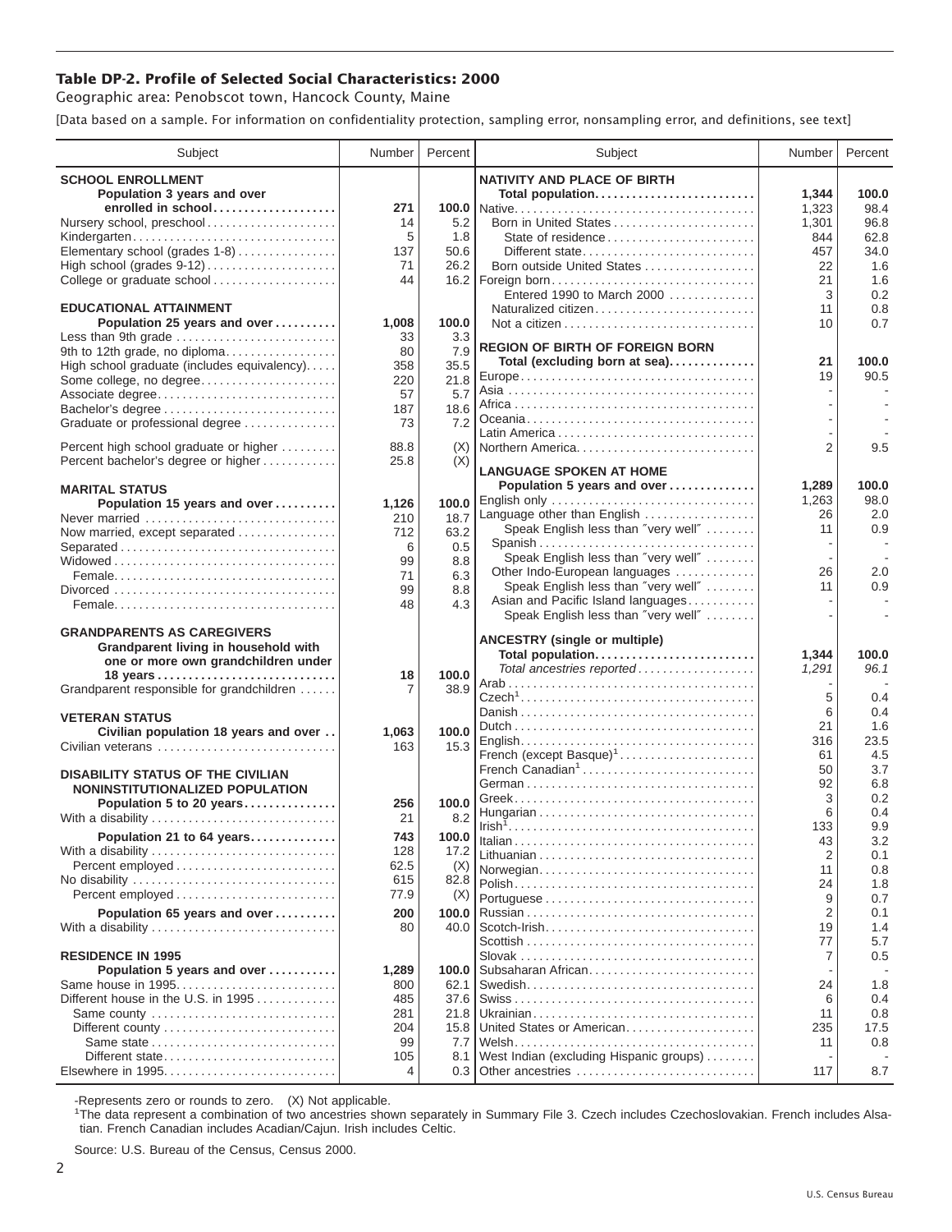## **Table DP-2. Profile of Selected Social Characteristics: 2000**

Geographic area: Penobscot town, Hancock County, Maine

[Data based on a sample. For information on confidentiality protection, sampling error, nonsampling error, and definitions, see text]

| Subject                                                                       | Number      | Percent      | Subject                                                                   | Number         | Percent     |
|-------------------------------------------------------------------------------|-------------|--------------|---------------------------------------------------------------------------|----------------|-------------|
| <b>SCHOOL ENROLLMENT</b>                                                      |             |              | <b>NATIVITY AND PLACE OF BIRTH</b>                                        |                |             |
| Population 3 years and over                                                   |             |              | Total population                                                          | 1,344          | 100.0       |
| enrolled in school                                                            | 271         |              |                                                                           | 1,323          | 98.4        |
| Nursery school, preschool                                                     | 14          | 5.2          | Born in United States                                                     | 1,301          | 96.8        |
| Kindergarten                                                                  | 5           | 1.8          | State of residence                                                        | 844            | 62.8        |
| Elementary school (grades 1-8)                                                | 137         | 50.6         | Different state                                                           | 457            | 34.0        |
| High school (grades 9-12)                                                     | 71          | 26.2         | Born outside United States                                                | 22             | 1.6         |
| College or graduate school                                                    | 44          |              |                                                                           | 21             | 1.6         |
|                                                                               |             |              | Entered 1990 to March 2000                                                | 3              | 0.2         |
| <b>EDUCATIONAL ATTAINMENT</b>                                                 |             |              | Naturalized citizen                                                       | 11             | 0.8         |
| Population 25 years and over<br>Less than 9th grade                           | 1,008<br>33 | 100.0<br>3.3 |                                                                           | 10             | 0.7         |
| 9th to 12th grade, no diploma                                                 | 80          | 7.9          | <b>REGION OF BIRTH OF FOREIGN BORN</b>                                    |                |             |
| High school graduate (includes equivalency)                                   | 358         | 35.5         | Total (excluding born at sea)                                             | 21             | 100.0       |
| Some college, no degree                                                       | 220         | 21.8         |                                                                           | 19             | 90.5        |
| Associate degree                                                              | 57          | 5.7          |                                                                           |                |             |
| Bachelor's degree                                                             | 187         | 18.6         |                                                                           |                |             |
| Graduate or professional degree                                               | 73          | 7.2          |                                                                           |                |             |
|                                                                               |             |              |                                                                           |                |             |
| Percent high school graduate or higher<br>Percent bachelor's degree or higher | 88.8        | (X)<br>(X)   | Northern America                                                          | 2              | 9.5         |
|                                                                               | 25.8        |              | <b>LANGUAGE SPOKEN AT HOME</b>                                            |                |             |
| <b>MARITAL STATUS</b>                                                         |             |              | Population 5 years and over                                               | 1,289          | 100.0       |
| Population 15 years and over                                                  | 1,126       | 100.0        | English only                                                              | 1,263          | 98.0        |
| Never married                                                                 | 210         | 18.7         | Language other than English                                               | 26             | 2.0         |
| Now married, except separated                                                 | 712         | 63.2         | Speak English less than "very well"                                       | 11             | 0.9         |
| Separated                                                                     | 6           | 0.5          | Spanish                                                                   |                |             |
|                                                                               | 99          | 8.8          | Speak English less than "very well"                                       |                |             |
|                                                                               | 71          | 6.3          | Other Indo-European languages                                             | 26             | 2.0         |
|                                                                               | 99          | 8.8          | Speak English less than "very well"                                       | 11             | 0.9         |
|                                                                               | 48          | 4.3          | Asian and Pacific Island languages<br>Speak English less than "very well" |                |             |
| <b>GRANDPARENTS AS CAREGIVERS</b>                                             |             |              |                                                                           |                |             |
| Grandparent living in household with                                          |             |              | <b>ANCESTRY (single or multiple)</b>                                      |                |             |
| one or more own grandchildren under                                           |             |              | Total population                                                          | 1,344          | 100.0       |
|                                                                               | 18          | 100.0        | Total ancestries reported                                                 | 1,291          | 96.1        |
| Grandparent responsible for grandchildren                                     | 7           | 38.9         |                                                                           |                |             |
|                                                                               |             |              |                                                                           | 5              | 0.4         |
| <b>VETERAN STATUS</b>                                                         |             |              |                                                                           | 6              | 0.4         |
| Civilian population 18 years and over                                         | 1,063       | 100.0        |                                                                           | 21             | 1.6<br>23.5 |
| Civilian veterans                                                             | 163         | 15.3         | French (except Basque) <sup>1</sup>                                       | 316<br>61      | 4.5         |
|                                                                               |             |              | French Canadian <sup>1</sup>                                              | 50             | 3.7         |
| <b>DISABILITY STATUS OF THE CIVILIAN</b>                                      |             |              |                                                                           | 92             | 6.8         |
| NONINSTITUTIONALIZED POPULATION                                               |             |              |                                                                           | 3              | 0.2         |
| Population 5 to 20 years                                                      | 256<br>21   | 100.0        |                                                                           | 6              | 0.4         |
| With a disability                                                             |             | 8.2          | $Irish1, , , , , , , , , ,$                                               | 133            | 9.9         |
| Population 21 to 64 years                                                     | 743         | 100.0        |                                                                           | 43             | 3.2         |
| With a disability                                                             | 128         | 17.2         |                                                                           | 2              | 0.1         |
|                                                                               | 62.5        | (X)          | Norwegian                                                                 | 11             | 0.8         |
|                                                                               | 615<br>77.9 | 82.8         |                                                                           | 24             | 1.8         |
| Percent employed                                                              |             | (X)          |                                                                           | 9              | 0.7         |
| Population 65 years and over                                                  | 200         | 100.0        |                                                                           | $\overline{2}$ | 0.1         |
| With a disability                                                             | 80          | 40.0         |                                                                           | 19<br>77       | 1.4         |
| <b>RESIDENCE IN 1995</b>                                                      |             |              |                                                                           | 7              | 5.7<br>0.5  |
| Population 5 years and over                                                   | 1,289       | 100.0        | Subsaharan African                                                        |                |             |
| Same house in 1995                                                            | 800         | 62.1         |                                                                           | 24             | 1.8         |
| Different house in the U.S. in 1995                                           | 485         | 37.6         |                                                                           | 6              | 0.4         |
| Same county                                                                   | 281         | 21.8         |                                                                           | 11             | 0.8         |
|                                                                               | 204         | 15.8         | United States or American                                                 | 235            | 17.5        |
|                                                                               | 99          | 7.7          |                                                                           | 11             | 0.8         |
| Different state                                                               | 105         | 8.1          | West Indian (excluding Hispanic groups)                                   |                |             |
| Elsewhere in 1995                                                             | 4           | 0.3          | Other ancestries                                                          | 117            | 8.7         |

-Represents zero or rounds to zero. (X) Not applicable. 1 The data represent a combination of two ancestries shown separately in Summary File 3. Czech includes Czechoslovakian. French includes Alsatian. French Canadian includes Acadian/Cajun. Irish includes Celtic.

Source: U.S. Bureau of the Census, Census 2000.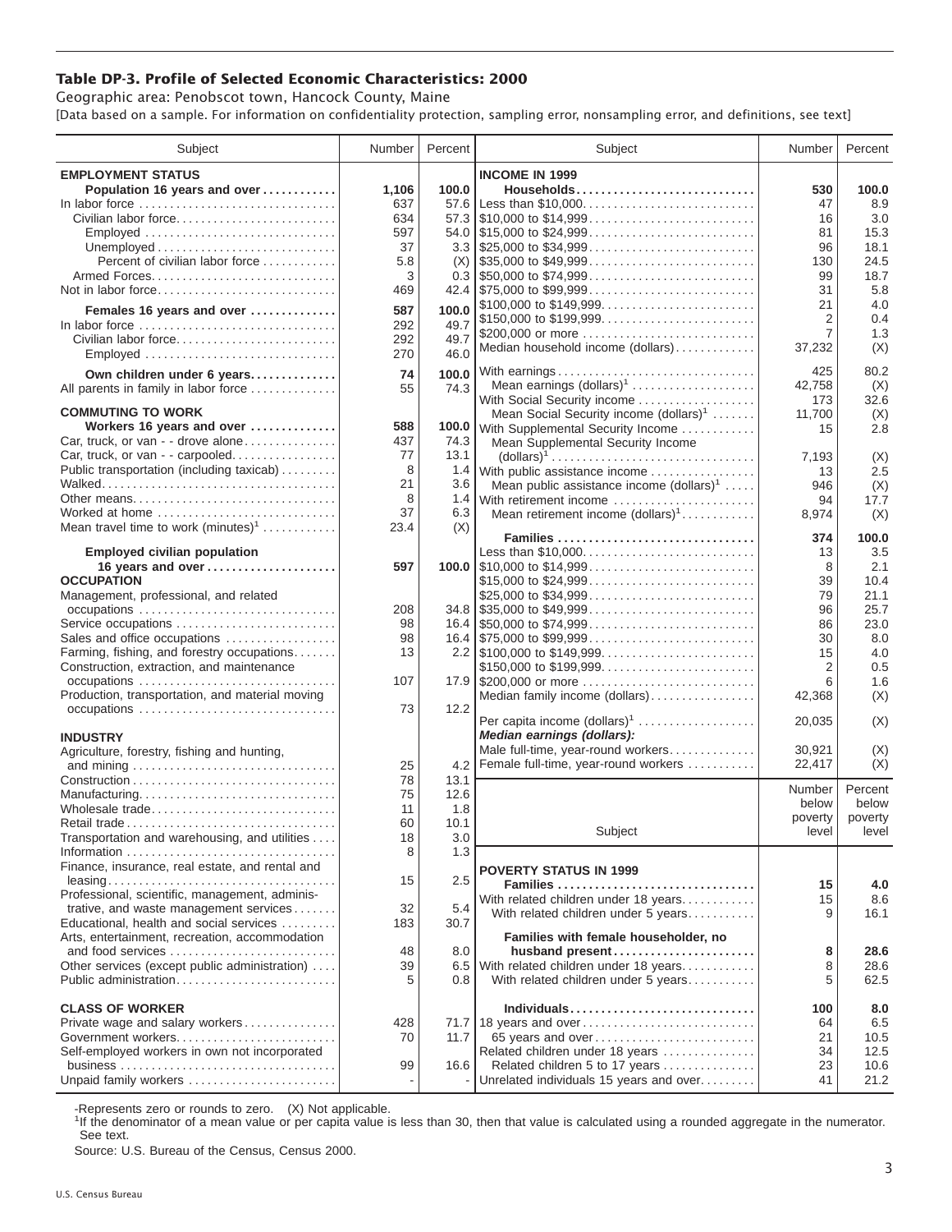## **Table DP-3. Profile of Selected Economic Characteristics: 2000**

Geographic area: Penobscot town, Hancock County, Maine [Data based on a sample. For information on confidentiality protection, sampling error, nonsampling error, and definitions, see text]

| Subject                                         | Number | Percent | Subject                                                                                | Number       | Percent    |
|-------------------------------------------------|--------|---------|----------------------------------------------------------------------------------------|--------------|------------|
| <b>EMPLOYMENT STATUS</b>                        |        |         | <b>INCOME IN 1999</b>                                                                  |              |            |
| Population 16 years and over                    | 1,106  | 100.0   | Households                                                                             | 530          | 100.0      |
| In labor force                                  | 637    | 57.6    | Less than \$10,000                                                                     | 47           | 8.9        |
| Civilian labor force                            | 634    |         |                                                                                        | 16           | 3.0        |
| Employed                                        | 597    |         |                                                                                        | 81           | 15.3       |
|                                                 | 37     |         |                                                                                        | 96           | 18.1       |
| Percent of civilian labor force                 | 5.8    | (X)     | $\frac{1}{2}$ \$35,000 to \$49,999                                                     | 130          | 24.5       |
|                                                 | 3      |         |                                                                                        | 99           | 18.7       |
| Not in labor force                              | 469    |         |                                                                                        | 31           | 5.8        |
| Females 16 years and over                       | 587    | 100.0   | \$100,000 to \$149,999                                                                 | 21           | 4.0        |
| In labor force                                  | 292    | 49.7    | \$150,000 to \$199,999                                                                 | 2            | 0.4        |
| Civilian labor force                            | 292    | 49.7    | \$200,000 or more                                                                      | 7            | 1.3        |
| Employed                                        | 270    | 46.0    | Median household income (dollars)                                                      | 37,232       | (X)        |
|                                                 |        |         |                                                                                        |              |            |
| Own children under 6 years                      | 74     | 100.0   | With earnings                                                                          | 425          | 80.2       |
| All parents in family in labor force            | 55     | 74.3    | Mean earnings (dollars) <sup>1</sup>                                                   | 42,758       | (X)        |
| <b>COMMUTING TO WORK</b>                        |        |         | With Social Security income                                                            | 173          | 32.6       |
| Workers 16 years and over                       | 588    | 100.0   | Mean Social Security income $(dollars)^1$                                              | 11,700<br>15 | (X)<br>2.8 |
| Car, truck, or van - - drove alone              | 437    | 74.3    | With Supplemental Security Income<br>Mean Supplemental Security Income                 |              |            |
| Car, truck, or van - - carpooled                | 77     | 13.1    | $\text{(dollars)}^1 \dots \dots \dots \dots \dots \dots \dots \dots \dots \dots \dots$ | 7,193        | (X)        |
| Public transportation (including taxicab)       | 8      | 1.4     | With public assistance income                                                          | 13           | 2.5        |
|                                                 | 21     | 3.6     | Mean public assistance income $(dollars)^1 \ldots$ .                                   | 946          | (X)        |
| Other means                                     | 8      |         | 1.4 With retirement income                                                             | 94           | 17.7       |
| Worked at home                                  | 37     | 6.3     | Mean retirement income $(dollars)1$                                                    | 8,974        | (X)        |
| Mean travel time to work $(minutes)^1$          | 23.4   | (X)     |                                                                                        |              |            |
|                                                 |        |         | Families                                                                               | 374          | 100.0      |
| <b>Employed civilian population</b>             |        |         | Less than \$10,000                                                                     | 13           | 3.5        |
| 16 years and over                               | 597    |         |                                                                                        | 8            | 2.1        |
| <b>OCCUPATION</b>                               |        |         | \$15,000 to \$24,999                                                                   | 39           | 10.4       |
| Management, professional, and related           |        |         | \$25,000 to \$34,999                                                                   | 79           | 21.1       |
| occupations                                     | 208    |         | $34.8$ \\ \$35,000 to \$49,999                                                         | 96           | 25.7       |
| Service occupations                             | 98     |         |                                                                                        | 86           | 23.0       |
| Sales and office occupations                    | 98     |         |                                                                                        | 30           | 8.0        |
| Farming, fishing, and forestry occupations      | 13     |         |                                                                                        | 15           | 4.0        |
| Construction, extraction, and maintenance       |        |         | \$150,000 to \$199,999                                                                 | 2            | 0.5        |
| occupations                                     | 107    |         | 17.9 \$200,000 or more                                                                 | 6            | 1.6        |
| Production, transportation, and material moving |        |         | Median family income (dollars)                                                         | 42,368       | (X)        |
| occupations                                     | 73     | 12.2    |                                                                                        |              |            |
|                                                 |        |         | Per capita income $(dollars)1$<br>Median earnings (dollars):                           | 20,035       | (X)        |
| <b>INDUSTRY</b>                                 |        |         | Male full-time, year-round workers                                                     | 30.921       | (X)        |
| Agriculture, forestry, fishing and hunting,     | 25     | 4.2     | Female full-time, year-round workers                                                   | 22,417       | (X)        |
|                                                 | 78     | 13.1    |                                                                                        |              |            |
| Manufacturing                                   | 75     | 12.6    |                                                                                        | Number       | Percent    |
| Wholesale trade                                 | 11     | 1.8     |                                                                                        | below        | below      |
|                                                 | 60     | 10.1    |                                                                                        | poverty      | poverty    |
| Transportation and warehousing, and utilities   | 18     | 3.0     | Subject                                                                                | level        | level      |
|                                                 | 8      | 1.3     |                                                                                        |              |            |
| Finance, insurance, real estate, and rental and |        |         |                                                                                        |              |            |
|                                                 | 15     | 2.5     | <b>POVERTY STATUS IN 1999</b>                                                          |              |            |
| Professional, scientific, management, adminis-  |        |         | Families<br>With related children under 18 years                                       | 15<br>15     | 4.0<br>8.6 |
| trative, and waste management services          | 32     | 5.4     | With related children under 5 years                                                    | 9            | 16.1       |
| Educational, health and social services         | 183    | 30.7    |                                                                                        |              |            |
| Arts, entertainment, recreation, accommodation  |        |         | Families with female householder, no                                                   |              |            |
| and food services                               | 48     | 8.0     | husband present                                                                        | 8            | 28.6       |
| Other services (except public administration)   | 39     | 6.5     | With related children under 18 years                                                   | 8            | 28.6       |
| Public administration                           | 5      | 0.8     | With related children under 5 years                                                    | 5            | 62.5       |
|                                                 |        |         |                                                                                        |              |            |
| <b>CLASS OF WORKER</b>                          |        |         |                                                                                        | 100          | 8.0        |
| Private wage and salary workers                 | 428    |         | 71.7 18 years and over                                                                 | 64           | 6.5        |
| Government workers                              | 70     | 11.7    | 65 years and over                                                                      | 21           | 10.5       |
| Self-employed workers in own not incorporated   |        |         | Related children under 18 years                                                        | 34           | 12.5       |
|                                                 | 99     | 16.6    | Related children 5 to 17 years                                                         | 23           | 10.6       |
| Unpaid family workers                           |        |         | Unrelated individuals 15 years and over                                                | 41           | 21.2       |

-Represents zero or rounds to zero. (X) Not applicable.

<sup>1</sup>If the denominator of a mean value or per capita value is less than 30, then that value is calculated using a rounded aggregate in the numerator. See text.

Source: U.S. Bureau of the Census, Census 2000.